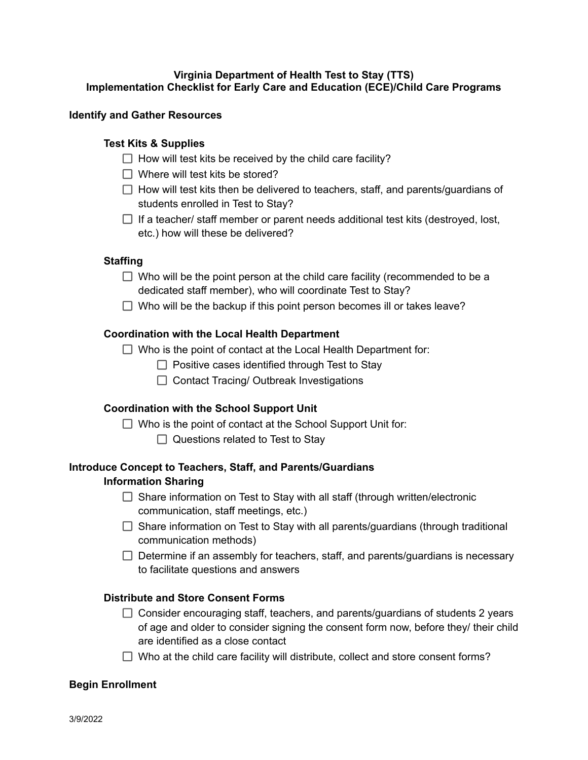# **Virginia Department of Health Test to Stay (TTS) Implementation Checklist for Early Care and Education (ECE)/Child Care Programs**

### **Identify and Gather Resources**

## **Test Kits & Supplies**

- $\Box$  How will test kits be received by the child care facility?
- $\Box$  Where will test kits be stored?
- $\Box$  How will test kits then be delivered to teachers, staff, and parents/guardians of students enrolled in Test to Stay?
- $\Box$  If a teacher/ staff member or parent needs additional test kits (destroyed, lost, etc.) how will these be delivered?

### **Staffing**

- $\Box$  Who will be the point person at the child care facility (recommended to be a dedicated staff member), who will coordinate Test to Stay?
- $\Box$  Who will be the backup if this point person becomes ill or takes leave?

### **Coordination with the Local Health Department**

 $\Box$  Who is the point of contact at the Local Health Department for:

- $\Box$  Positive cases identified through Test to Stay
- $\Box$  Contact Tracing/ Outbreak Investigations

## **Coordination with the School Support Unit**

- $\Box$  Who is the point of contact at the School Support Unit for:
	- $\Box$  Questions related to Test to Stay

# **Introduce Concept to Teachers, Staff, and Parents/Guardians Information Sharing**

- $\Box$  Share information on Test to Stay with all staff (through written/electronic communication, staff meetings, etc.)
- $\Box$  Share information on Test to Stay with all parents/guardians (through traditional communication methods)
- $\Box$  Determine if an assembly for teachers, staff, and parents/guardians is necessary to facilitate questions and answers

# **Distribute and Store Consent Forms**

- $\Box$  Consider encouraging staff, teachers, and parents/guardians of students 2 years of age and older to consider signing the consent form now, before they/ their child are identified as a close contact
- $\Box$  Who at the child care facility will distribute, collect and store consent forms?

### **Begin Enrollment**